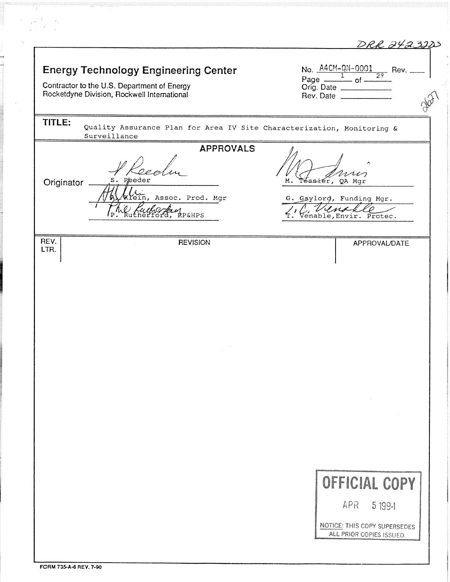|              |                                                                                                                                           | DRR 2423225                                                                                                                                   |
|--------------|-------------------------------------------------------------------------------------------------------------------------------------------|-----------------------------------------------------------------------------------------------------------------------------------------------|
|              | <b>Energy Technology Engineering Center</b><br>Contractor to the U.S. Department of Energy<br>Rocketdyne Division, Rockwell International | No. $\frac{\text{A4CM}-\text{QN}-0001}{1}$ Rev.<br>Page $\frac{1}{\sqrt{1-\frac{29}{1}}}\text{of}$<br>Orig. Date<br>Rev. Date _______________ |
| TITLE:       | Quality Assurance Plan for Area IV Site Characterization, Monitoring &<br>Surveillance                                                    |                                                                                                                                               |
|              | <b>APPROVALS</b>                                                                                                                          |                                                                                                                                               |
| Originator   | S. Reeder                                                                                                                                 | м.<br>Téssiér, QA Mgr                                                                                                                         |
|              | Klein, Assoc. Prod. Mgr<br>Cull Control Results<br>I P                                                                                    | G. Gaylord, Funding Mgr.<br>Venable, Envir. Protec.                                                                                           |
| REV.<br>LTR. | <b>REVISION</b>                                                                                                                           | APPROVAL/DATE                                                                                                                                 |
|              |                                                                                                                                           |                                                                                                                                               |
|              |                                                                                                                                           |                                                                                                                                               |
|              |                                                                                                                                           |                                                                                                                                               |
|              |                                                                                                                                           |                                                                                                                                               |
|              |                                                                                                                                           |                                                                                                                                               |
|              |                                                                                                                                           |                                                                                                                                               |
|              |                                                                                                                                           |                                                                                                                                               |
|              |                                                                                                                                           |                                                                                                                                               |
|              |                                                                                                                                           |                                                                                                                                               |
|              |                                                                                                                                           |                                                                                                                                               |
|              |                                                                                                                                           |                                                                                                                                               |
|              |                                                                                                                                           |                                                                                                                                               |
|              |                                                                                                                                           |                                                                                                                                               |
|              |                                                                                                                                           | OFFICIAL COPY                                                                                                                                 |
|              |                                                                                                                                           | APR<br>5 1994                                                                                                                                 |
|              |                                                                                                                                           |                                                                                                                                               |
|              |                                                                                                                                           | NOTICE: THIS COPY SUPERSEDES<br>ALL PRIOR COPIES ISSUED.                                                                                      |
|              |                                                                                                                                           |                                                                                                                                               |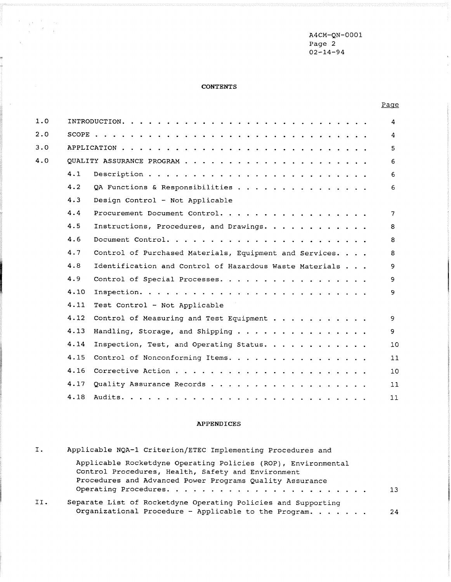A4CM-QN-0001 Page 2  $02 - 14 - 94$ 

# **CONTENTS**

 $\label{eq:2.1} \begin{split} \mathcal{F}^{\text{max}}_{\text{max}}&=\frac{1}{\sqrt{2\pi}}\left|\frac{\partial \mathcal{F}}{\partial \mathcal{F}}\right|_{\text{max}}\\ &\mathcal{F}^{\text{max}}_{\text{max}}&=\frac{1}{2\pi}\left|\frac{\partial \mathcal{F}}{\partial \mathcal{F}}\right|_{\text{max}}. \end{split}$ 

 $\epsilon_{\rm c}$  .

 $\frac{1}{2}$ 

 $\epsilon$ 

| 1.0 |      |                                                         | 4              |
|-----|------|---------------------------------------------------------|----------------|
| 2.0 |      |                                                         | 4              |
| 3.0 |      |                                                         | 5              |
| 4.0 |      |                                                         | 6              |
|     | 4.1  |                                                         | 6              |
|     | 4.2  | QA Functions & Responsibilities                         | 6              |
|     | 4.3  | Design Control - Not Applicable                         |                |
|     | 4.4  | Procurement Document Control.                           | $\overline{7}$ |
|     | 4.5  | Instructions, Procedures, and Drawings.                 | 8              |
|     | 4.6  |                                                         | 8              |
|     | 4.7  | Control of Purchased Materials, Equipment and Services. | 8              |
|     | 4.8  | Identification and Control of Hazardous Waste Materials | 9              |
|     | 4.9  | Control of Special Processes.                           | 9              |
|     | 4.10 |                                                         | 9              |
|     | 4.11 | Test Control - Not Applicable                           |                |
|     | 4.12 | Control of Measuring and Test Equipment                 | 9              |
|     | 4.13 | Handling, Storage, and Shipping                         | 9              |
|     | 4.14 | Inspection, Test, and Operating Status.                 | 10             |
|     | 4.15 | Control of Nonconforming Items.                         | 11             |
|     | 4.16 |                                                         | 10             |
|     | 4.17 | Quality Assurance Records                               | 11             |
|     | 4.18 |                                                         | 11             |

### APPENDICES

| I.  | Applicable NQA-1 Criterion/ETEC Implementing Procedures and                                                                                                                     |     |
|-----|---------------------------------------------------------------------------------------------------------------------------------------------------------------------------------|-----|
|     | Applicable Rocketdyne Operating Policies (ROP), Environmental<br>Control Procedures, Health, Safety and Environment<br>Procedures and Advanced Power Programs Quality Assurance |     |
|     |                                                                                                                                                                                 | 13. |
| II. | Separate List of Rocketdyne Operating Policies and Supporting<br>Organizational Procedure - Applicable to the Program.                                                          | 24  |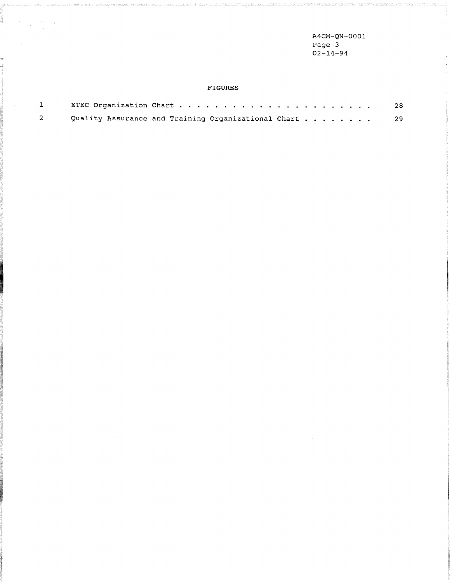**A4CM-QN-0001 Page 3 02-14-94** 

 $\bar{\pi}$ 

# $\tt{FIGURES}$

 $\bar{z}$ 

 $\begin{array}{ccccc} \mathbf{Y} & & & \mathbf{Y} & & \mathbf{Y} \\ & & & \mathbf{X} & & \mathbf{Y} \\ & & & \mathbf{X} & & \mathbf{X} \\ & & & \mathbf{X} & & \mathbf{X} \\ & & & \mathbf{X} & & \mathbf{X} \end{array}$ 

 $\epsilon_{\rm c}$  .

-2

ę

 $\sim$ 

| $\mathbf{1}$ |                                                        | 28 |
|--------------|--------------------------------------------------------|----|
|              | Quality Assurance and Training Organizational Chart 29 |    |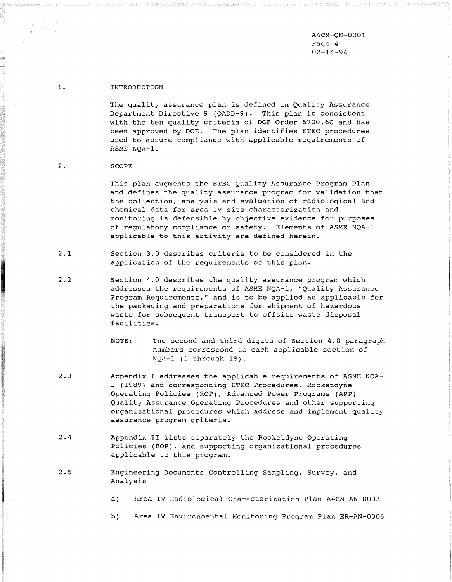A4CM-QN-0001 Page 4 02-14-94

#### $1.$ INTRODUCTION

The quality assurance plan is defined in Quality Assurance Department Directive 9 (QADD-9). This plan is consistent with the ten quality criteria of DOE Order 5700.6C and has been approved by DOE. The plan identifies ETEC procedures used to assure compliance with applicable requirements of ASME NQA-1.

#### $2.$ SCOPE

This plan augments the ETEC Quality Assurance Program Plan and defines the quality assurance program for validation that the collection, analysis and evaluation of radiological and chemical data for area IV site characterization and monitoring is defensible by objective evidence for purposes of regulatory compliance or safety. Elements of ASME NQA-1 applicable to this activity are defined herein.

- $2.1$ Section 3.0 describes criteria to be considered in the application of the requirements of this plan.
- $2.2$ Section 4.0 describes the quality assurance program which addresses the requirements of ASME NQA-1, "Quality Assurance Program Requirements," and is to be applied as applicable for the packaging and preparations for shipment of hazardous waste for subsequent transport to offsite waste disposal facilities.
	- NOTE: The second and third digits of Section 4.0 paragraph numbers correspond to each applicable section of NQA-1 (1 through 18).
- $2.3$ Appendix I addresses the applicable requirements of ASME NQA-1 (1989) and corresponding ETEC Procedures, Rocketdyne Operating Policies (ROP), Advanced Power Programs (APP) Quality Assurance Operating Procedures and other supporting organizational procedures which address and implement quality assurance program criteria.
- $2.4$ Appendix I1 lists separately the Rocketdyne Operating Policies (ROP), and supporting organizational procedures applicable to this program.
- $2.5$ Engineering Documents Controlling Sampling, Survey, and Analysis
	- a) Area IV Radiological Characterization Plan A4CM-AN-0003
	- b) Area IV Environmental Monitoring Program Plan ER-AN-0006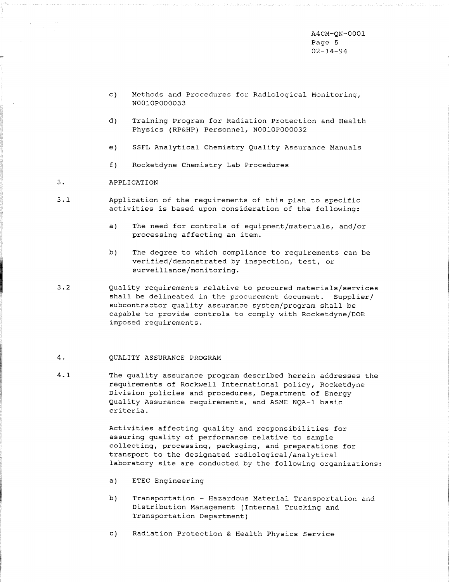A4CM-QN-0001 Page 5 02-14-94

- c) Methods and Procedures for Radiological Monitoring, N0010P000033
- d) Training Program for Radiation Protection and Health Physics (RP&HP) Personnel, N0010P000032
- e) SSFL Analytical Chemistry Quality Assurance Manuals
- f) Rocketdyne Chemistry Lab Procedures
- 3. APPLICATION
- 3.1 Application of the requirements of this plan to specific activities is based upon consideration of the following:
	- a) The need for controls of equipment/materials, and/or processing affecting an item.
	- b) The degree to which compliance to requirements can be verified/demonstrated by inspection, test, or **surveillance/monitoring.**
- 3.2 Quality requirements relative to procured materials/services shall be delineated in the procurement document. Supplier/ subcontractor quality assurance system/program shall be capable to provide controls to comply with Rocketdyne/DOE imposed requirements.

#### 4. QUALITY ASSURANCE PROGRAM

4.1 The quality assurance program described herein addresses the requirements of Rockwell International policy, Rocketdyne Division policies and procedures, Department of Energy Quality Assurance requirements, and ASME NQA-1 basic criteria.

> Activities affecting quality and responsibilities for assuring quality of performance relative to sample collecting, processing, packaging, and preparations for transport to the designated radiological/analytical laboratory site are conducted by the following organizations:

- a) ETEC Engineering
- b) Transportation Hazardous Material Transportation and Distribution Management (Internal Trucking and Transportation Department)
- c) Radiation Protection & Health Physics Service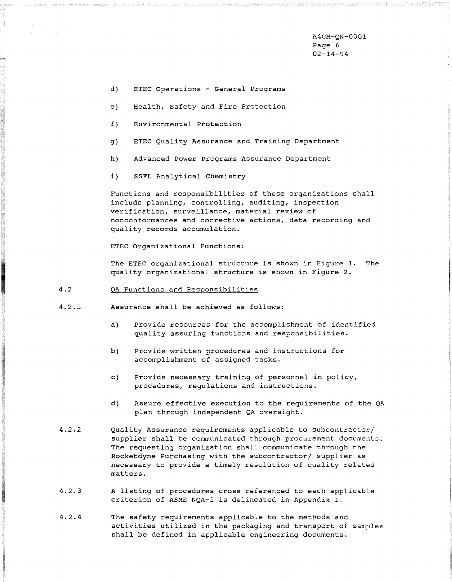A4CM-QN-0001 Page 6 02-14-94

- d) ETEC Operations General Programs
- e) Health, Safety and Fire Protection
- f) Environmental Protection
- g) ETEC Quality Assurance and Training Department
- h) Advanced Power Programs Assurance Department
- i) SSFL Analytical Chemistry

Functions and responsibilities of these organizations shall include planning, controlling, auditing, inspection verification, surveillance, material review of nonconformances and corrective actions, data recording and quality records accumulation.

ETEC Organizational Functions:

The ETEC organizational structure is shown in Figure 1. The quality organizational structure is shown in Figure 2.

#### $4.2$ QA Functions and Responsibilities

- $4.2.1$ Assurance shall be achieved as follows:
	- a) Provide resources for the accomplishment of identified quality assuring functions and responsibilities.
	- b) Provide written procedures and instructions for accomplishment of assigned tasks.
	- C) Provide necessary training of personnel in policy, procedures, regulations and instructions.
	- d) Assure effective execution to the requirements of the QA plan through independent QA oversight.
- $4.2.2$ Quality Assurance requirements applicable to subcontractor/ supplier shall be communicated through procurement documents. The requesting organization shall communicate through the Rocketdyne Purchasing with the subcontractor/ supplier as necessary to provide a timely resolution of quality related matters.
- $4.2.3$ A listing of procedures cross referenced to each applicsble criterion of ASME NQA-1 is delineated in Appendix I.
- $4.2.4$ The safety requirements applicable to the methods and activities utilized in the packaging and transport of samples shall be defined in applicable engineering documents.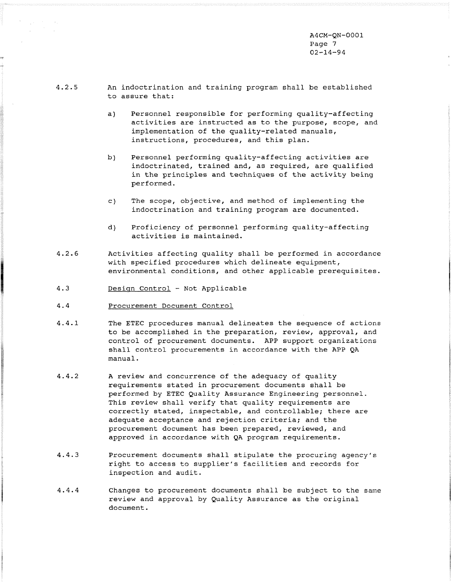A4CM-QN-0001 Page 7 02-14-94

- $4.2.5$
- An indoctrination and training program shall be established to assure that:
	- a) Personnel responsible for performing quality-affecting activities are instructed as to the purpose, scope, and implementation of the quality-related manuals, instructions, procedures, and this plan.
	- b) Personnel performing quality-affecting activities are indoctrinated, trained and, as required, are qualified in the principles and techniques of the activity being performed.
	- c) The scope, objective, and method of implementing the indoctrination and training program are documented.
	- d) Proficiency of personnel performing quality-affecting activities is maintained.
- $4.2.6$ Activities affecting quality shall be performed in accordance with specified procedures which delineate equipment, environmental conditions, and other applicable prerequisites.
- $4.3$ Design Control - Not Applicable
- $4.4$ Procurement Document Control
- $4.4.1$ The ETEC procedures manual delineates the sequence of actions to be accomplished in the preparation, review, approval, and control of procurement documents. APP support organizations shall control procurements in accordance with the APP QA manual.
- $4.4.2$ A review and concurrence of the adequacy of quality requirements stated in procurement documents shall be performed by ETEC Quality Assurance Engineering personnel. This review shall verify that quality requirements are correctly stated, inspectable, and controllable; there are adequate acceptance and rejection criteria; and the procurement document has been prepared, reviewed, and approved in accordance with QA program requirements.
- $4.4.3$ Procurement documents shall stipulate the procuring agency's right to access to supplier's facilities and records for inspection and audit.
- $4.4.4$ Changes to procurement documents shall be subject to the same review and approval by Quality Assurance as the original document.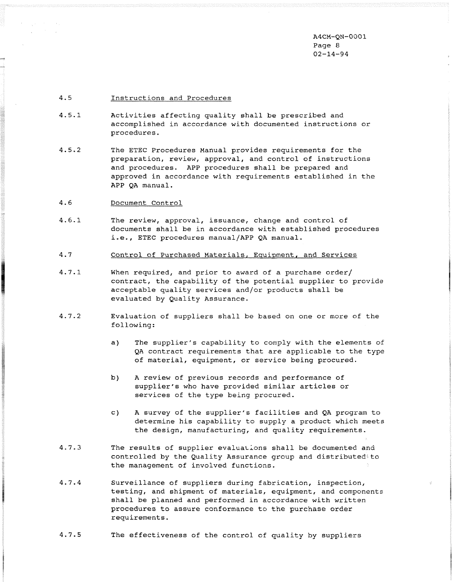A4CM-QN-0001 Page 8 02-14-94

#### $4.5 -$ Instructions and Procedures

- $4.5.1$ Activities affecting quality shall be prescribed and accomplished in accordance with documented instructions or procedures.
- $4.5.2$ The ETEC Procedures Manual provides requirements for the preparation, review, approval, and control of instructions and procedures. APP procedures shall be prepared and approved in accordance with requirements established in the APP QA manual.
- $4.6$ Document Control
- $4.6.1$ The review, approval, issuance, change and control of documents shall be in accordance with established procedures i.e., ETEC procedures manual/APP QA manual.
- $4.7$ Control of Purchased Materials, Equipment, and Services
- $4.7.1$ When required, and prior to award of a purchase order/ contract, the capability of the potential supplier to provide acceptable quality services and/or products shall be evaluated by Quality Assurance.
- $4.7.2$ Evaluation of suppliers shall be based on one or more of the following:
	- a) The supplier's capability to comply with the elements of QA contract requirements that are applicable to the type of material, equipment, or service being procured.
	- b) A review of previous records and performance of supplier's who have provided similar articles or services of the type being procured.
	- c) A survey of the supplier's facilities and QA program to determine his capability to supply a product which meets the design, manufacturing, and quality requirements.
- $4.7.3$ The results of supplier evaluations shall be documented and controlled by the Quality Assurance group and distributed to the management of involved functions.
- $4.7.4$ Surveillance of suppliers during fabrication, inspection, testing, and shipment of materials, equipment, and components shall be planned and performed in accordance with written procedures to assure conformance to the purchase order requirements.
- $4.7.5$ The effectiveness of the control of quality by suppliers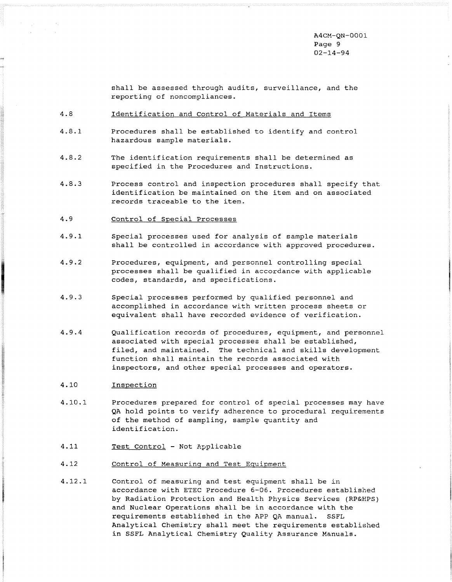A4CM-QN-0001 Page 9 02-14-94

shall be assessed through audits, surveillance, and the reporting of noncompliances.

- $4.8$ Identification and Control of Materials and Items
- $4.8.1$ Procedures shall be established to identify and control hazardous sample materials.
- $4.8.2$ The identification requirements shall be determined as specified in the Procedures and Instructions.
- $4.8.3$ Process control and inspection procedures shall specify that identification be maintained on the item and on associated records traceable to the item.
- 4.9 Control of Special Processes
- $4.9.1$ Special processes used for analysis of sample materials shall be controlled in accordance with approved procedures.
- $4.9.2$ Procedures, equipment, and personnel controlling special processes shall be qualified in accordance with applicable codes, standards, and specifications.
- $4.9.3$ Special processes performed by qualified personnel and accomplished in accordance with written process sheets or equivalent shall have recorded evidence of verification.
- $4.9.4$ Qualification records of procedures, equipment, and personnel associated with special processes shall be established, filed, and maintained. The technical and skills development function shall maintain the records associated with inspectors, and other special processes and operators.
- 4.10 **Inspection**
- 4.10.1 Procedures prepared for control of special processes may have QA hold points to verify adherence to procedural requirements of the method of sampling, sample quantity and identification.
- 4.11 Test Control Not Applicable
- 4.12 Control of Measurinq and Test Equipment
- 4.12.1 Control of measuring and test equipment shall be in accordance with ETEC Procedure 6-06. Procedures established by Radiation Protection and Health Physics Services (RP&HPS) and Nuclear Operations shall be in accordance with the requirements established in the APP QA manual. SSFL Analytical Chemiskry shall meet the requirements established in SSFL Analytical Chemistry Quality Assurance Manuals.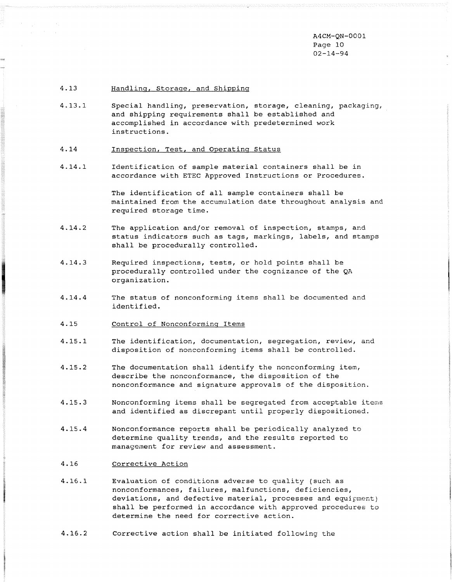A4CM-QN-0001 Page 10 02-14-94

#### $4.13$ Handlinq, Storaqe, and Shippinq

- $4.13.1$ Special handling, preservation, storage, cleaning, packaging, and shipping requirements shall be established and accomplished in accordance with predetermined work instructions.
- 4.14 Inspection, Test, and Operating Status
- $4.14.1$ Identification of sample material containers shall be in accordance with ETEC Approved Instructions or Procedures.

The identification of all sample containers shall be maintained from the accumulation date throughout analysis and required storage time.

- $4.14.2$ The application and/or removal of inspection, stamps, and status indicators such as tags, markings, labels, and stamps shall be procedurally controlled.
- $4.14.3$ Required inspections, tests, or hold points shall be procedurally controlled under the cognizance of the QA organization.
- $4.14.4$ The status of nonconforming items shall be documented and identified .
- 4.15 Control of Nonconforming Items
- $4.15.1$ The identification, documentation, segregation, review, and disposition of nonconforming items shall be controlled.
- $4.15.2$ The documentation shall identify the nonconforming item, describe the nonconformance, the disposition of the nonconformance and signature approvals of the disposition.
- $4.15.3$ Nonconforming items shall be segregated from acceptable items. and identified as discrepant until properly dispositioned,
- $4.15.4$ Nonconformance reports shall be periodically analyzed to determine quality trends, and the results reported to management for review and assessment.
- 4.16 Corrective Action
- $4.16.1$ Evaluation of conditions adverse to quality (such as nonconformances, failures, malfunctions, deficiencies, deviations, and defective material, processes and equipment) shall be performed in accordance with approved procedures to determine the need for corrective action.
- $4.16.2$ Corrective action shall be initiated following the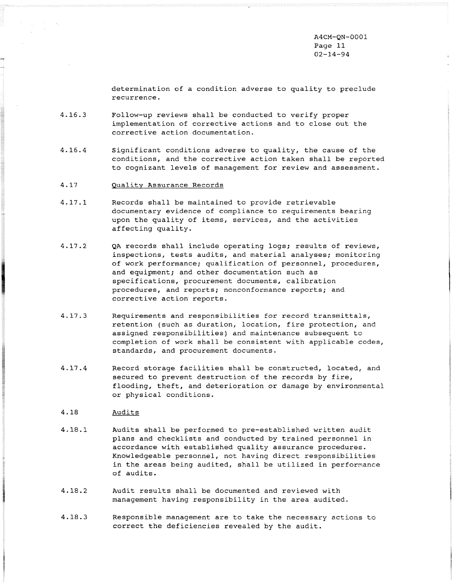A4CM-QN-0001 Page 11 02-14-94

determination of a condition adverse to quality to preclude recurrence.

- $4.16.3$ Follow-up reviews shall be conducted to verify proper implementation of corrective actions and to close out the corrective action documentation.
- $4.16.4$ Significant conditions adverse to quality, the cause of the conditions, and the corrective action taken shall be reported to cognizant levels of management for review and assessment.
- 4.17 gualitv Assurance Records
- $4.17.1$ Records shall be maintained to provide retrievable documentary evidence of compliance to requirements bearing upon the quality of items, services, and the activities affecting quality.
- $4.17.2$ QA records shall include operating logs; results of reviews, inspections, tests audits, and material analyses; monitoring of work performance; qualification of personnel, procedures, and equipment; and other documentation such as specifications, procurement documents, calibration procedures, and reports; nonconformance reports; and corrective action reports.
- $4.17.3$ Requirements and responsibilities for record transmittals, retention (such as duration, location, fire protection, and assigned responsibilities) and maintenance subsequent to completion of work shall be consistent with applicable codes, standards, and procurement documents.
- $4.17.4$ Record storage facilities shall be constructed, located, and secured to prevent destruction of the records by fire, flooding, theft, and deterioration or damage by environmental or physical conditions.

#### 4.18 Audits

- $4.18.1$ Audits shall be performed to pre-established written audit plans and checklists and conducted by trained personnel in accordance with established quality assurance procedures. Knowledgeable personnel, not having direct responsibilities in the areas being audited, shall be utilized in performance of audits.
- $4.18.2$ Audit results shall be documented and reviewed with management having responsibility in the area audited.
- $4.18.3$ Responsible management are to take the necessary actions to correct the deficiencies revealed by the audit.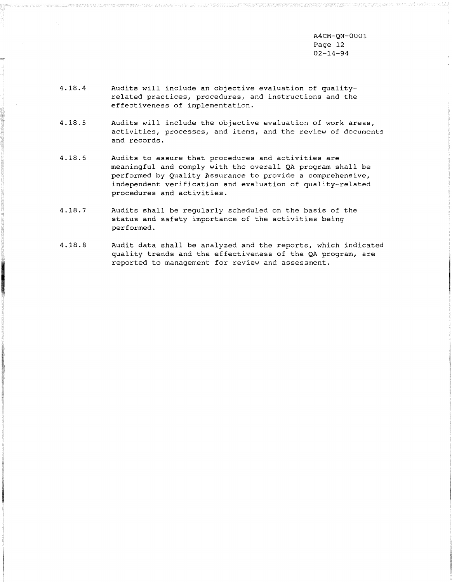**A4CM-QN-0001**  Page 12 **02-14-94** 

- 4.18.4 Audits will include an objective evaluation of qualityrelated practices, procedures, and instructions and the effectiveness of implementation.
- $4.18.5$ Audits will include the objective evaluation of work areas, activities, processes, and items, and the review of documents and records.
- $4.18.6$ Audits to assure that procedures and activities are meaningful and comply with the overall QA program shall be performed by Quality Assurance to provide a comprehensive, independent verification and evaluation of quality-related procedures and activities.
- $4.18.7$ Audits shall be regularly scheduled on the basis of the status and safety importance of the activities being performed.
- 4.18.8 Audit data shall be analyzed and the reports, which indicated quality trends and the effectiveness of the **QA** program, are reported to management for review and assessment.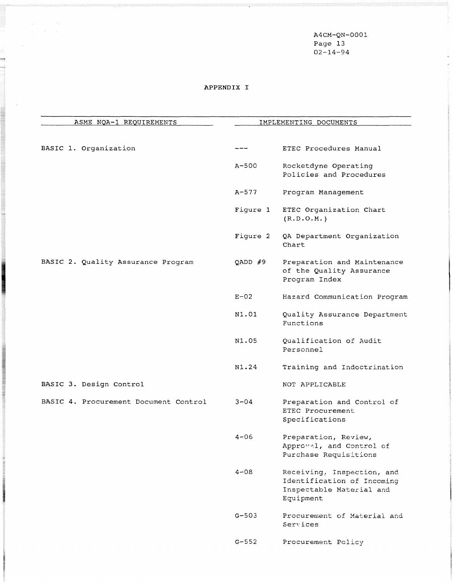A4CM-QN-0001 Page 13 02-14-94

# APPENDIX I

 $\label{eq:2.1} \begin{split} \mathcal{F}^{(1)}_{\text{max}}(\mathbf{x}^{\text{max}}_{\text{max}},\mathbf{y}) = \mathcal{F}^{(1)}_{\text{max}} \\ \mathcal{F}^{(1)}_{\text{max}}(\mathbf{x}^{\text{max}}_{\text{max}},\mathbf{y}^{\text{max}}_{\text{max}}), \end{split}$ 

**SUBJECTS** 

| ASME NQA-1 REQUIREMENTS               |           | IMPLEMENTING DOCUMENTS                                                                            |
|---------------------------------------|-----------|---------------------------------------------------------------------------------------------------|
| BASIC 1. Organization                 |           | ETEC Procedures Manual                                                                            |
|                                       | $A-500$   | Rocketdyne Operating<br>Policies and Procedures                                                   |
|                                       | $A - 577$ | Program Management                                                                                |
|                                       | Figure 1  | ETEC Organization Chart<br>(R.D.O.M.)                                                             |
|                                       | Figure 2  | QA Department Organization<br>Chart                                                               |
| BASIC 2. Quality Assurance Program    | $QADD$ #9 | Preparation and Maintenance<br>of the Quality Assurance<br>Program Index                          |
|                                       | $E-02$    | Hazard Communication Program                                                                      |
|                                       | N1.01     | Quality Assurance Department<br>Functions                                                         |
|                                       | N1.05     | Qualification of Audit<br>Personnel                                                               |
|                                       | N1.24     | Training and Indoctrination                                                                       |
| BASIC 3. Design Control               |           | NOT APPLICABLE                                                                                    |
| BASIC 4. Procurement Document Control | $3 - 04$  | Preparation and Control of<br>ETEC Procurement<br>Specifications                                  |
|                                       | $4 - 06$  | Preparation, Review,<br>Approval, and Control of<br>Purchase Requisitions                         |
|                                       | $4 - 08$  | Receiving, Inspection, and<br>Identification of Incoming<br>Inspectable Material and<br>Equipment |
|                                       | $G - 503$ | Procurement of Material and<br>Services                                                           |
|                                       | $G - 552$ | Procurement Policy                                                                                |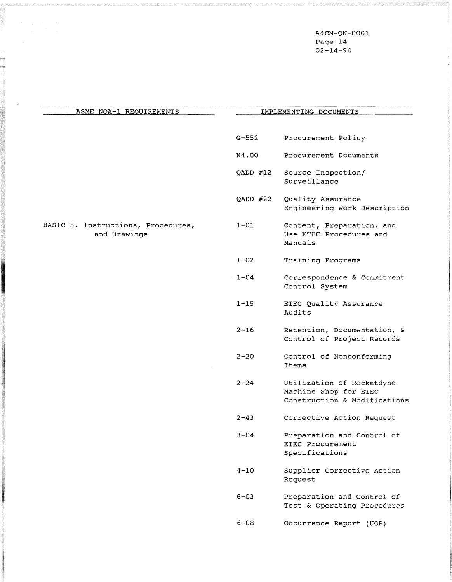A4CM-QN-0001 Page 14 02-14-94

| ASME NOA-1 REQUIREMENTS                            | IMPLEMENTING DOCUMENTS |                                                                                    |
|----------------------------------------------------|------------------------|------------------------------------------------------------------------------------|
|                                                    | $G - 552$              | Procurement Policy                                                                 |
|                                                    | N4.00                  | Procurement Documents                                                              |
|                                                    | QADD $#12$             | Source Inspection/<br>Surveillance                                                 |
|                                                    | QADD $#22$             | Quality Assurance<br>Engineering Work Description                                  |
| BASIC 5. Instructions, Procedures,<br>and Drawings | $1 - 01$               | Content, Preparation, and<br>Use ETEC Procedures and<br>Manuals                    |
|                                                    | $1 - 02$               | Training Programs                                                                  |
|                                                    | $1 - 04$               | Correspondence & Commitment<br>Control System                                      |
|                                                    | $1 - 15$               | ETEC Quality Assurance<br>Audits                                                   |
|                                                    | $2 - 16$               | Retention, Documentation, &<br>Control of Project Records                          |
|                                                    | $2 - 20$               | Control of Nonconforming<br>Items                                                  |
|                                                    | $2 - 24$               | Utilization of Rocketdyne<br>Machine Shop for ETEC<br>Construction & Modifications |
|                                                    | $2 - 43$               | Corrective Action Request                                                          |
|                                                    | $3 - 04$               | Preparation and Control of<br>ETEC Procurement<br>Specifications                   |
|                                                    | $4 - 10$               | Supplier Corrective Action<br>Request                                              |
|                                                    | $6 - 03$               | Preparation and Control of<br>Test & Operating Procedures                          |
|                                                    | $6 - 08$               | Occurrence Report (UOR)                                                            |

 $\begin{aligned} \mathcal{F}_{\text{max}}(\mathbf{x}) & = \mathcal{F}_{\text{max}}(\mathbf{x}) \\ & = \mathcal{F}_{\text{max}}(\mathbf{x}) \\ & = \mathcal{F}_{\text{max}}(\mathbf{x}) \end{aligned}$ 

pog

**CONTRACTOR**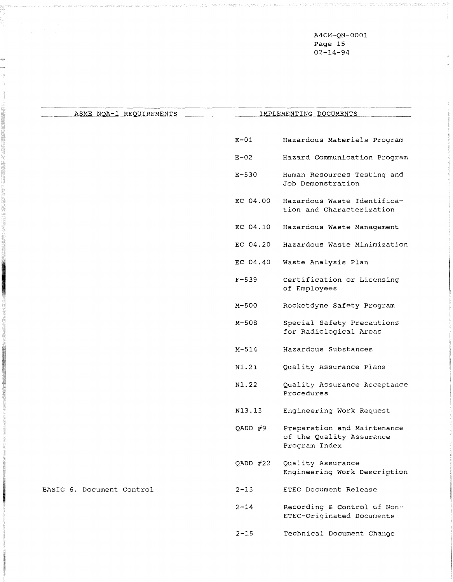A4CM-QN-0001 Page 15 02-14-94

 $\bar{z}$ 

| ASME NOA-1 REQUIREMENTS   |            | IMPLEMENTING DOCUMENTS                                                   |
|---------------------------|------------|--------------------------------------------------------------------------|
|                           |            |                                                                          |
|                           | $E-01$     | Hazardous Materials Program                                              |
|                           | $E-02$     | Hazard Communication Program                                             |
|                           | $E - 530$  | Human Resources Testing and<br>Job Demonstration                         |
|                           | EC 04.00   | Hazardous Waste Identifica-<br>tion and Characterization                 |
|                           | EC 04.10   | Hazardous Waste Management                                               |
|                           | EC 04.20   | Hazardous Waste Minimization                                             |
|                           | EC 04.40   | Waste Analysis Plan                                                      |
|                           | $F - 539$  | Certification or Licensing<br>of Employees                               |
|                           | $M - 500$  | Rocketdyne Safety Program                                                |
|                           | $M - 508$  | Special Safety Precautions<br>for Radiological Areas                     |
|                           | $M - 514$  | Hazardous Substances                                                     |
|                           | N1.21      | Quality Assurance Plans                                                  |
|                           | N1.22      | Quality Assurance Acceptance<br>Procedures                               |
|                           | N13.13     | Engineering Work Request                                                 |
|                           | QADD $#9$  | Preparation and Maintenance<br>of the Quality Assurance<br>Program Index |
|                           | QADD $#22$ | Quality Assurance<br>Engineering Work Description                        |
| BASIC 6. Document Control | $2 - 13$   | ETEC Document Release                                                    |
|                           | $2 - 14$   | Recording & Control of Non-<br>ETEC-Originated Documents                 |

 $\label{eq:2.1} \begin{split} \mathcal{F}^{(1)}_{\text{max}}(\mathbf{x}) = \frac{1}{2\pi\sqrt{2}} \mathcal{F}^{(1)}_{\text{max}}(\mathbf{x}) \end{split}$ 

j.

**REAL PROPERTY** 

2-15 Technical Document Change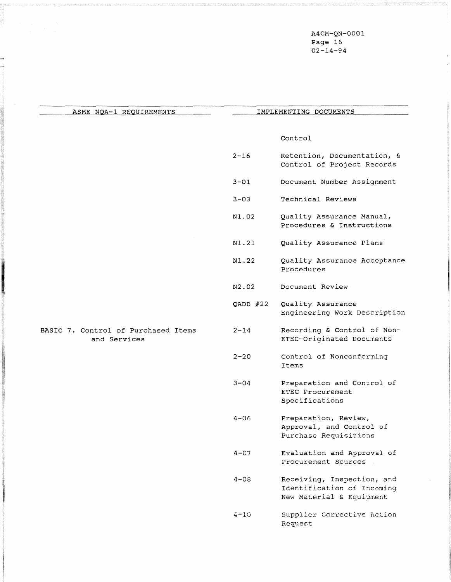A4CM-QN-0001 Page 16 02-14-94

 $\frac{1}{2}$ 

| ASME NQA-1 REQUIREMENTS                             | IMPLEMENTING DOCUMENTS |                                                                                      |
|-----------------------------------------------------|------------------------|--------------------------------------------------------------------------------------|
|                                                     |                        | Control                                                                              |
|                                                     | $2 - 16$               | Retention, Documentation, &<br>Control of Project Records                            |
|                                                     | $3 - 01$               | Document Number Assignment                                                           |
|                                                     | $3 - 03$               | Technical Reviews                                                                    |
|                                                     | N1.02                  | Quality Assurance Manual,<br>Procedures & Instructions                               |
|                                                     | N1.21                  | Quality Assurance Plans                                                              |
|                                                     | N1.22                  | Quality Assurance Acceptance<br>Procedures                                           |
|                                                     | N2.02                  | Document Review                                                                      |
|                                                     | QADD $#22$             | Quality Assurance<br>Engineering Work Description                                    |
| BASIC 7. Control of Purchased Items<br>and Services | $2 - 14$               | Recording & Control of Non-<br>ETEC-Originated Documents                             |
|                                                     | $2 - 20$               | Control of Nonconforming<br>Items                                                    |
|                                                     | $3 - 04$               | Preparation and Control of<br>ETEC Procurement<br>Specifications                     |
|                                                     | $4 - 06$               | Preparation, Review,<br>Approval, and Control of<br>Purchase Requisitions            |
|                                                     | $4 - 07$               | Evaluation and Approval of<br>Procurement Sources                                    |
|                                                     | $4 - 08$               | Receiving, Inspection, and<br>Identification of Incoming<br>New Material & Equipment |
|                                                     | $4 - 10$               | Supplier Corrective Action                                                           |

m

Request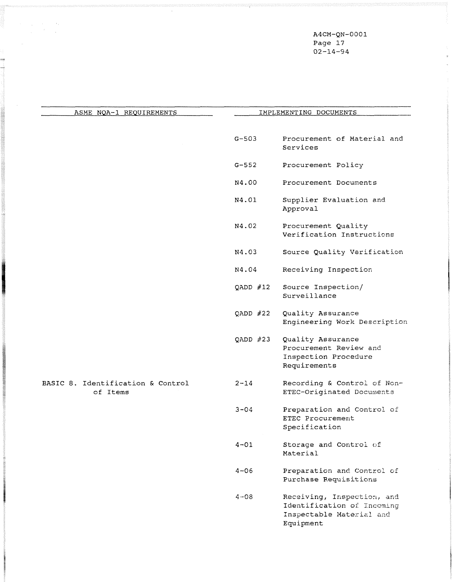A4CM-QN-0001 Page 17 02-14-94

| ASME NOA-1 REQUIREMENTS                       | IMPLEMENTING DOCUMENTS |                                                                                                   |
|-----------------------------------------------|------------------------|---------------------------------------------------------------------------------------------------|
|                                               | $G - 503$              | Procurement of Material and<br>Services                                                           |
|                                               | $G-552$                | Procurement Policy                                                                                |
|                                               | N4.00                  | Procurement Documents                                                                             |
|                                               | N4.01                  | Supplier Evaluation and<br>Approval                                                               |
|                                               | N4.02                  | Procurement Quality<br>Verification Instructions                                                  |
|                                               | N4.03                  | Source Quality Verification                                                                       |
|                                               | N4.04                  | Receiving Inspection                                                                              |
|                                               | QADD $#12$             | Source Inspection/<br>Surveillance                                                                |
|                                               | QADD $#22$             | Quality Assurance<br>Engineering Work Description                                                 |
|                                               | QADD $#23$             | Quality Assurance<br>Procurement Review and<br>Inspection Procedure<br>Requirements               |
| BASIC 8. Identification & Control<br>of Items | $2 - 14$               | Recording & Control of Non-<br>ETEC-Originated Documents                                          |
|                                               | $3 - 04$               | Preparation and Control of<br>ETEC Procurement<br>Specification                                   |
|                                               | $4 - 01$               | Storage and Control of<br>Material                                                                |
|                                               | $4 - 06$               | Preparation and Control of<br>Purchase Requisitions                                               |
|                                               | $4 - 08$               | Receiving, Inspection, and<br>Identification of Incoming<br>Inspectable Material and<br>Equipment |

 $\bar{a}$ 

 $\label{eq:2} \begin{split} \mathcal{F}^{(1)}_{\text{max}}&=\mathcal{F}^{(1)}_{\text{max}}\left(\mathcal{F}^{(1)}_{\text{max}}\right)\\ &\mathcal{F}^{(1)}_{\text{max}}\left(\mathcal{F}^{(1)}_{\text{max}}\right)\\ &\mathcal{F}^{(1)}_{\text{max}}&=\mathcal{F}^{(1)}_{\text{max}}\left(\mathcal{F}^{(1)}_{\text{max}}\right)\\ &\mathcal{F}^{(1)}_{\text{max}}&=\mathcal{F}^{(1)}_{\text{max}}\left(\mathcal{F}^{(1)}_{\text{max}}\right)\\ &\$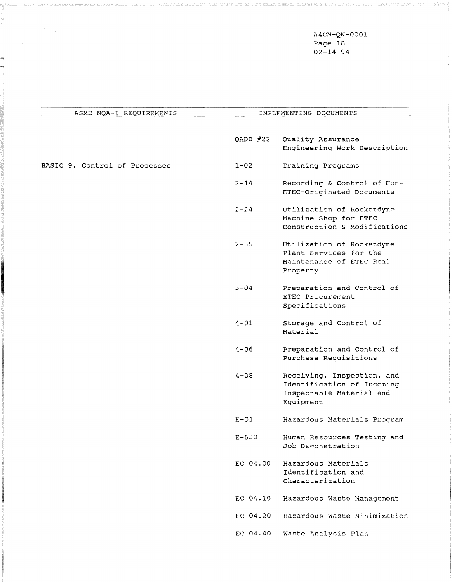A4CM-QN-0001 Page 18  $02 - 14 - 94$ 

 $\mathbf{r}$ 

| ASME NOA-1 REQUIREMENTS       | IMPLEMENTING DOCUMENTS |                                                                                                   |
|-------------------------------|------------------------|---------------------------------------------------------------------------------------------------|
|                               | QADD $#22$             | Quality Assurance<br>Engineering Work Description                                                 |
| BASIC 9. Control of Processes | $1 - 02$               | Training Programs                                                                                 |
|                               | $2 - 14$               | Recording & Control of Non-<br>ETEC-Originated Documents                                          |
|                               | $2 - 24$               | Utilization of Rocketdyne<br>Machine Shop for ETEC<br>Construction & Modifications                |
|                               | $2 - 35$               | Utilization of Rocketdyne<br>Plant Services for the<br>Maintenance of ETEC Real<br>Property       |
|                               | $3 - 04$               | Preparation and Control of<br>ETEC Procurement<br>Specifications                                  |
|                               | $4 - 01$               | Storage and Control of<br>Material                                                                |
|                               | $4 - 06$               | Preparation and Control of<br>Purchase Requisitions                                               |
|                               | $4 - 08$               | Receiving, Inspection, and<br>Identification of Incoming<br>Inspectable Material and<br>Equipment |
|                               | $E-01$                 | Hazardous Materials Program                                                                       |
|                               | $E - 530$              | Human Resources Testing and<br>Job Demonstration                                                  |
|                               | EC 04.00               | Hazardous Materials<br>Identification and<br>Characterization                                     |
|                               | EC 04.10               | Hazardous Waste Management                                                                        |
|                               | EC 04.20               | Hazardous Waste Minimization                                                                      |
|                               | EC 04.40               | Waste Analysis Plan                                                                               |

ano terroro establicacio estat

m<br>..

 $\bar{\beta}$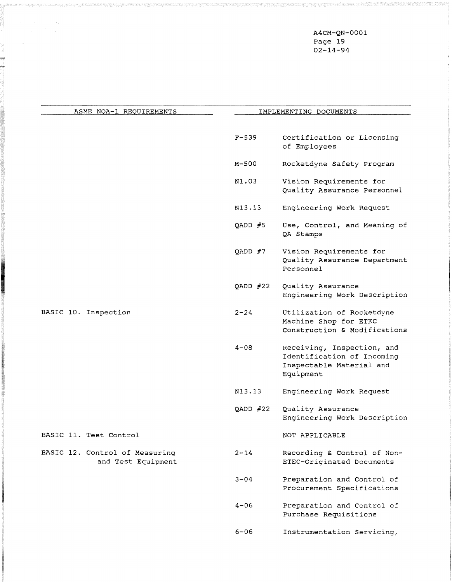A4CM-QN-0001 Page 19 02-14-94

 $\mathbf{S}$ 

| ASME NOA-1 REQUIREMENTS                              |            | IMPLEMENTING DOCUMENTS                                                                            |  |  |
|------------------------------------------------------|------------|---------------------------------------------------------------------------------------------------|--|--|
|                                                      |            |                                                                                                   |  |  |
|                                                      | $F - 539$  | Certification or Licensing<br>of Employees                                                        |  |  |
|                                                      | M-500      | Rocketdyne Safety Program                                                                         |  |  |
|                                                      | N1.03      | Vision Requirements for<br>Quality Assurance Personnel                                            |  |  |
|                                                      | N13.13     | Engineering Work Request                                                                          |  |  |
|                                                      | QADD $#5$  | Use, Control, and Meaning of<br>QA Stamps                                                         |  |  |
|                                                      | QADD $#7$  | Vision Requirements for<br>Quality Assurance Department<br>Personnel                              |  |  |
|                                                      | QADD $#22$ | Quality Assurance<br>Engineering Work Description                                                 |  |  |
| BASIC 10. Inspection                                 | $2 - 24$   | Utilization of Rocketdyne<br>Machine Shop for ETEC<br>Construction & Modifications                |  |  |
|                                                      | $4 - 08$   | Receiving, Inspection, and<br>Identification of Incoming<br>Inspectable Material and<br>Equipment |  |  |
|                                                      | N13.13     | Engineering Work Request                                                                          |  |  |
|                                                      | QADD $#22$ | Quality Assurance<br>Engineering Work Description                                                 |  |  |
| BASIC 11. Test Control                               |            | NOT APPLICABLE                                                                                    |  |  |
| BASIC 12. Control of Measuring<br>and Test Equipment | $2 - 14$   | Recording & Control of Non-<br>ETEC-Originated Documents                                          |  |  |
|                                                      | 3-04       | Preparation and Control of<br>Procurement Specifications                                          |  |  |
|                                                      | 4-06       | Preparation and Control of<br>Purchase Requisitions                                               |  |  |
|                                                      | $6 - 06$   | Instrumentation Servicing,                                                                        |  |  |

standing<br>G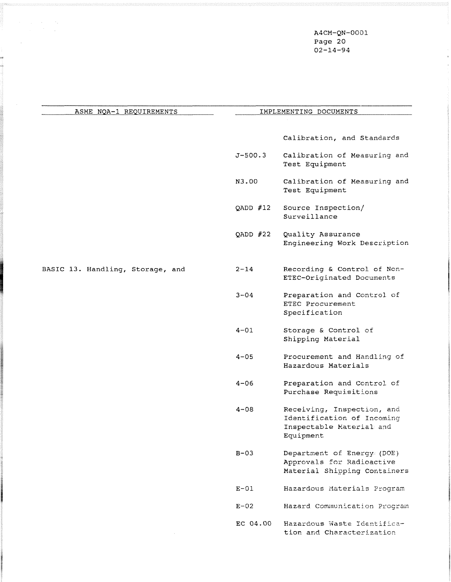A4CM-QN-0001 Page 20 02-14-94

 $\mathbf{z}$ 

| ASME NOA-1 REQUIREMENTS          |             | IMPLEMENTING DOCUMENTS                                                                            |
|----------------------------------|-------------|---------------------------------------------------------------------------------------------------|
|                                  |             | Calibration, and Standards                                                                        |
|                                  | $J - 500.3$ | Calibration of Measuring and<br>Test Equipment                                                    |
|                                  | N3.00       | Calibration of Measuring and<br>Test Equipment                                                    |
|                                  | QADD $#12$  | Source Inspection/<br>Surveillance                                                                |
|                                  | QADD $#22$  | Quality Assurance<br>Engineering Work Description                                                 |
| BASIC 13. Handling, Storage, and | $2 - 14$    | Recording & Control of Non-<br>ETEC-Originated Documents                                          |
|                                  | $3 - 04$    | Preparation and Control of<br>ETEC Procurement<br>Specification                                   |
|                                  | $4 - 01$    | Storage & Control of<br>Shipping Material                                                         |
|                                  | $4 - 05$    | Procurement and Handling of<br>Hazardous Materials                                                |
|                                  | $4 - 06$    | Preparation and Control of<br>Purchase Requisitions                                               |
|                                  | $4 - 08$    | Receiving, Inspection, and<br>Identification of Incoming<br>Inspectable Material and<br>Equipment |
|                                  | $B-03$      | Department of Energy (DOE)<br>Approvals for Radioactive<br>Material Shipping Containers           |
|                                  | $E-01$      | Hazardous Materials Program                                                                       |
|                                  | $E-02$      | Hazard Communication Program                                                                      |
|                                  | EC 04.00    | Hazardous Waste Identifica-<br>tion and Characterization                                          |

 $\label{eq:2.1} \begin{split} \mathcal{L}_{\text{max}}(\mathbf{x}) & = \mathcal{L}_{\text{max}}(\mathbf{x}) \\ & = \mathcal{L}_{\text{max}}(\mathbf{x}) + \mathcal{L}_{\text{max}}(\mathbf{x}) \end{split}$ 

 $\hat{\mathcal{A}}$ 

e<br>Romania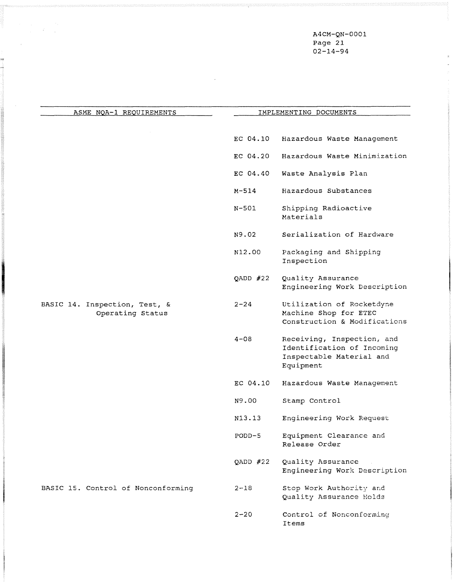A4CM-QN-0001 Page 21 02-14-94

| ASME NOA-1 REQUIREMENTS                           | IMPLEMENTING DOCUMENTS |                                                                                                   |  |
|---------------------------------------------------|------------------------|---------------------------------------------------------------------------------------------------|--|
|                                                   |                        |                                                                                                   |  |
|                                                   | EC 04.10               | Hazardous Waste Management                                                                        |  |
|                                                   | EC 04.20               | Hazardous Waste Minimization                                                                      |  |
|                                                   | EC 04.40               | Waste Analysis Plan                                                                               |  |
|                                                   | $M - 514$              | Hazardous Substances                                                                              |  |
|                                                   | N-501                  | Shipping Radioactive<br>Materials                                                                 |  |
|                                                   | N9.02                  | Serialization of Hardware                                                                         |  |
|                                                   | N12.00                 | Packaging and Shipping<br>Inspection                                                              |  |
|                                                   | QADD $#22$             | Quality Assurance<br>Engineering Work Description                                                 |  |
| BASIC 14. Inspection, Test, &<br>Operating Status | $2 - 24$               | Utilization of Rocketdyne<br>Machine Shop for ETEC<br>Construction & Modifications                |  |
|                                                   | $4 - 08$               | Receiving, Inspection, and<br>Identification of Incoming<br>Inspectable Material and<br>Equipment |  |
|                                                   | EC 04.10               | Hazardous Waste Management                                                                        |  |
|                                                   | N9.00                  | Stamp Control                                                                                     |  |
|                                                   | N13.13                 | Engineering Work Request                                                                          |  |
|                                                   | $PODD-5$               | Equipment Clearance and<br>Release Order                                                          |  |
|                                                   | QADD #22               | Quality Assurance<br>Engineering Work Description                                                 |  |
| BASIC 15. Control of Nonconforming                | $2 - 18$               | Stop Work Authority and<br>Quality Assurance Holds                                                |  |
|                                                   | $2 - 20$               | Control of Nonconforming<br>Items                                                                 |  |

 $\sim 10$ 

 $\label{eq:2} \begin{split} \mathcal{L}_{\text{max}}(\mathbf{r}) = \frac{1}{2} \mathcal{L}_{\text{max}}(\mathbf{r}) \\ \mathcal{L}_{\text{max}}(\mathbf{r}) = \frac{1}{2} \mathcal{L}_{\text{max}}(\mathbf{r}) \mathcal{L}_{\text{max}}(\mathbf{r}) \end{split}$ 

 $\mathcal{L}_{\mathbf{A}}$  .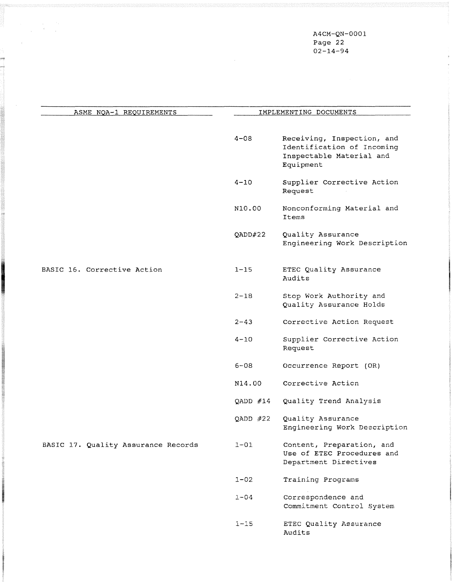A4CM-QN-0001 Page 22 02-14-94

| ASME NOA-1 REQUIREMENTS             |            | IMPLEMENTING DOCUMENTS                                                                            |
|-------------------------------------|------------|---------------------------------------------------------------------------------------------------|
|                                     |            |                                                                                                   |
|                                     | $4 - 08$   | Receiving, Inspection, and<br>Identification of Incoming<br>Inspectable Material and<br>Equipment |
|                                     | $4 - 10$   | Supplier Corrective Action<br>Request                                                             |
|                                     | N10.00     | Nonconforming Material and<br>Items                                                               |
|                                     | QADD#22    | Quality Assurance<br>Engineering Work Description                                                 |
| BASIC 16. Corrective Action         | $1 - 15$   | ETEC Quality Assurance<br>Audits                                                                  |
|                                     | $2 - 18$   | Stop Work Authority and<br>Quality Assurance Holds                                                |
|                                     | $2 - 43$   | Corrective Action Request                                                                         |
|                                     | $4 - 10$   | Supplier Corrective Action<br>Request                                                             |
|                                     | $6 - 08$   | Occurrence Report (OR)                                                                            |
|                                     | N14.00     | Corrective Action                                                                                 |
|                                     | QADD $#14$ | Quality Trend Analysis                                                                            |
|                                     | QADD $#22$ | Quality Assurance<br>Engineering Work Description                                                 |
| BASIC 17. Quality Assurance Records | $1 - 01$   | Content, Preparation, and<br>Use of ETEC Procedures and<br>Department Directives                  |
|                                     | $1 - 02$   | Training Programs                                                                                 |
|                                     | $1 - 04$   | Correspondence and<br>Commitment Control System                                                   |
|                                     | $1 - 15$   | ETEC Quality Assurance<br>Audits                                                                  |

 $\label{eq:2.1} \begin{split} \mathcal{L}_{\text{max}}(\mathbf{r}) & = \frac{1}{2} \mathcal{L}_{\text{max}}(\mathbf{r}) \mathcal{L}_{\text{max}}(\mathbf{r}) \\ & = \frac{1}{2} \mathcal{L}_{\text{max}}(\mathbf{r}) \mathcal{L}_{\text{max}}(\mathbf{r}) \mathcal{L}_{\text{max}}(\mathbf{r}) \mathcal{L}_{\text{max}}(\mathbf{r}) \mathcal{L}_{\text{max}}(\mathbf{r}) \mathcal{L}_{\text{max}}(\mathbf{r}) \mathcal{L}_{\text{max}}(\mathbf{r}) \mathcal{L}_{\text{max}}(\mathbf{r})$ 

 $\hat{\mathcal{A}}$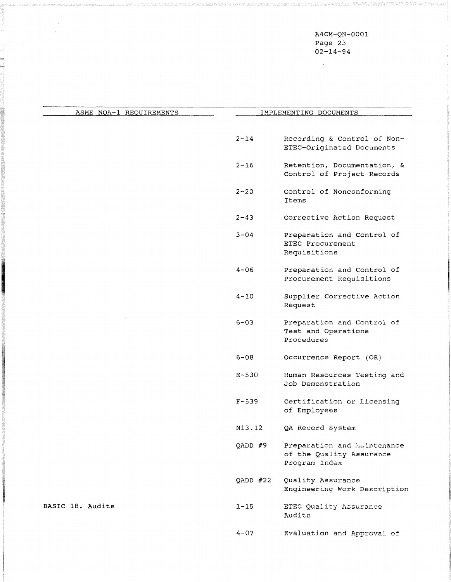A4CM-QN-0001 Page 23 02-14-94

 $\sim$   $\sim$ 

a se se da segunda de la construcción de la construcción de la construcción de la construcción de la construcc

 $\label{eq:2} \begin{split} \frac{d}{dt} \left( \frac{d}{dt} \right) & = \frac{d}{dt} \left( \frac{d}{dt} \right) \frac{d}{dt} \left( \frac{d}{dt} \right) \frac{d}{dt} \left( \frac{d}{dt} \right) \frac{d}{dt} \left( \frac{d}{dt} \right) \frac{d}{dt} \left( \frac{d}{dt} \right) \frac{d}{dt} \left( \frac{d}{dt} \right) \frac{d}{dt} \left( \frac{d}{dt} \right) \frac{d}{dt} \left( \frac{d}{dt} \right) \frac{d}{dt} \left( \frac{d}{dt} \right) \frac{d}{dt$ 

| ASME NOA-1 REQUIREMENTS |            | IMPLEMENTING DOCUMENTS                                                   |
|-------------------------|------------|--------------------------------------------------------------------------|
|                         |            |                                                                          |
|                         | $2 - 14$   | Recording & Control of Non-<br>ETEC-Originated Documents                 |
|                         | $2 - 16$   | Retention, Documentation, &<br>Control of Project Records                |
|                         | $2 - 20$   | Control of Nonconforming<br>Ttems                                        |
|                         | $2 - 43$   | Corrective Action Request                                                |
|                         | $3 - 04$   | Preparation and Control of<br>ETEC Procurement<br>Requisitions           |
|                         | $4 - 06$   | Preparation and Control of<br>Procurement Requisitions                   |
|                         | $4 - 10$   | Supplier Corrective Action<br>Request                                    |
|                         | $6 - 03$   | Preparation and Control of<br>Test and Operations<br>Procedures          |
|                         | $6 - 08$   | Occurrence Report (OR)                                                   |
|                         | $E-530$    | Human Resources Testing and<br>Job Demonstration                         |
|                         | $F - 539$  | Certification or Licensing<br>of Employees                               |
|                         | N13.12     | QA Record System                                                         |
|                         | QADD #9    | Preparation and Maintenance<br>of the Quality Assurance<br>Program Index |
|                         | QADD $#22$ | Quality Assurance<br>Engineering Work Description                        |
| BASIC 18. Audits        | $1 - 15$   | ETEC Quality Assurance<br>Audits                                         |
|                         | $4 - 07$   | Evaluation and Approval of                                               |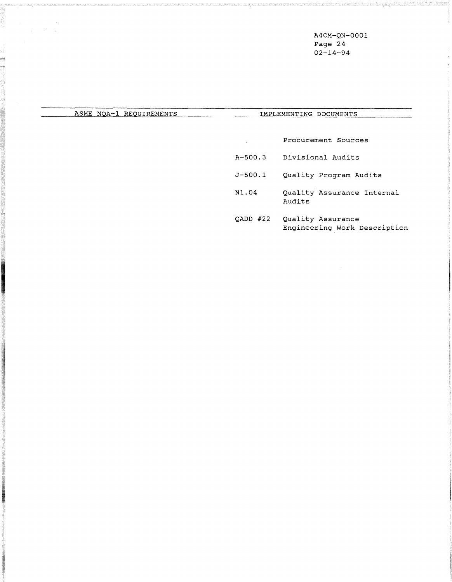**A4CM-QN-0001 Page 24 02-14-94** 

# ASME NOA-1 REQUIREMENTS **IMPLEMENTING DOCUMENTS**

**ASTEROIDE** 

**ATOMY HISTORY** 

**Procurement Sources** 

**A-500.3 Divisional Audits** 

 $\hat{A}$ 

- **5-500.1 Quality Program Audits**
- **N1.04 Quality Assurance Internal Audits**
- **QADD** #22 **Quality Assurance Engineering Work Description**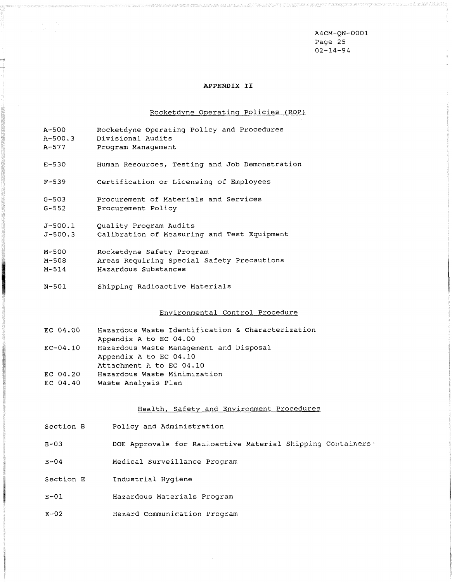A4CM-QN-0001 Page 25 02-14-94

#### APPENDIX **I1**

# Rocketdyne Operating Policies (ROP)

| $A - 500$   | Rocketdyne Operating Policy and Procedures     |
|-------------|------------------------------------------------|
| A-500.3     | Divisional Audits                              |
| $A - 577$   | Program Management                             |
| $E - 530$   | Human Resources, Testing and Job Demonstration |
| $F - 539$   | Certification or Licensing of Employees        |
| $G - 503$   | Procurement of Materials and Services          |
| $G - 552$   | Procurement Policy                             |
| $J - 500.1$ | Quality Program Audits                         |
| $J - 500.3$ | Calibration of Measuring and Test Equipment    |
| M-500       | Rocketdyne Safety Program                      |
| M-508       | Areas Requiring Special Safety Precautions     |
| $M - 514$   | Hazardous Substances                           |

 $N - 501$ Shipping Radioactive Materials

 $\label{eq:2.1} \begin{split} \frac{1}{\sqrt{2}}\left(\frac{1}{\sqrt{2}}\right) & = \frac{1}{2}\frac{1}{\sqrt{2}}\left(\frac{1}{\sqrt{2}}\right) \\ \frac{1}{\sqrt{2}}\left(\frac{1}{\sqrt{2}}\right) & = \frac{1}{2}\frac{1}{\sqrt{2}}\left(\frac{1}{\sqrt{2}}\right) \\ \frac{1}{\sqrt{2}}\left(\frac{1}{\sqrt{2}}\right) & = \frac{1}{2}\frac{1}{\sqrt{2}}\left(\frac{1}{\sqrt{2}}\right) \\ \frac{1}{\sqrt{2}}\left(\frac{1}{\sqrt{2}}\right) & = \frac$ 

m

**Program** 

# Environmental Control Procedure

| EC 04.00 | Hazardous Waste Identification & Characterization |
|----------|---------------------------------------------------|
|          | Appendix A to EC 04.00                            |
| EC-04.10 | Hazardous Waste Management and Disposal           |
|          | Appendix A to EC 04.10                            |
|          | Attachment A to EC 04.10                          |
| EC 04.20 | Hazardous Waste Minimization                      |
| EC 04.40 | Waste Analysis Plan                               |

# Health, Safety and Environment Procedures

| Section B | Policy and Administration                                  |
|-----------|------------------------------------------------------------|
| $B - 03$  | DOE Approvals for Radioactive Material Shipping Containers |
| $B-04$    | Medical Surveillance Program                               |
| Section E | Industrial Hygiene                                         |
| $E-01$    | Hazardous Materials Program                                |
| $E-02$    | Hazard Communication Program                               |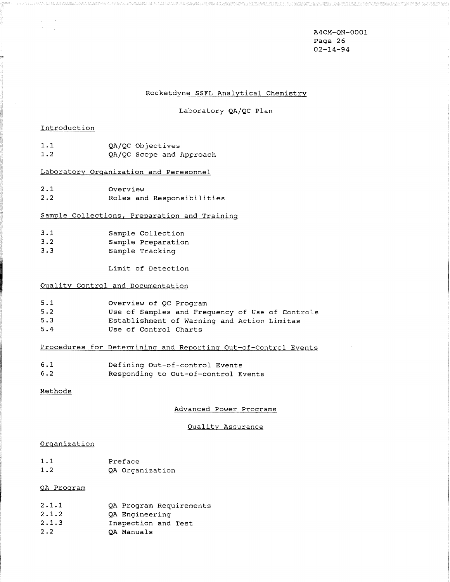A4CM-QN-0001 Page 26 02-14-94

#### Rocketdyne SSFL Analytical Chemistry

Laboratory QA/QC Plan

#### Introduction

 $\sim$   $\sim$ 

| 1.1 |  | QA/QC Objectives |
|-----|--|------------------|
| າ າ |  |                  |

1.2 QA/QC Scope and Approach

# Laboratory Orqanization and Peresonnel

| 2.1 | Overview |                            |
|-----|----------|----------------------------|
| 2.2 |          | Roles and Responsibilities |

### Sample Collections. Preparation and Traininq

| 3.1         | Sample Collection  |
|-------------|--------------------|
| $3 \cdot 2$ | Sample Preparation |
| 3.3         | Sample Tracking    |

Limit of Detection

#### Qualitv Control and Documentation

| 5.1 | Overview of QC Program                          |
|-----|-------------------------------------------------|
| 5.2 | Use of Samples and Frequency of Use of Controls |
| 5.3 | Establishment of Warning and Action Limitas     |
| 5.4 | Use of Control Charts                           |

### Procedures for Determininq and Reportinq Out-of-Control Events

| 6.1 | Defining Out-of-control Events      |
|-----|-------------------------------------|
| 6.2 | Responding to Out-of-control Events |

### Methods

#### Advanced Power Programs

#### Quality Assurance

#### **Organization**

 $1.1$ Preface  $1.2$ QA Organization

# QA Proqram

| 2.1.1 | QA Program Requirements |
|-------|-------------------------|
| 2.1.2 | QA Engineering          |
| 2.1.3 | Inspection and Test     |
| 2.2   | OA Manuals              |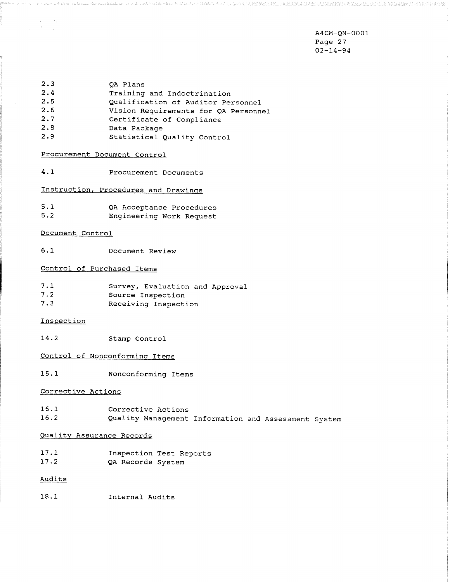A4CM-QN-0001 Page 27 02-14-94

- 2.3 QA Plans<br>2.4 Training 2.4 Training and Indoctrination<br>2.5 Oualification of Auditor Pe 2.5 Qualification of Auditor Personnel<br>2.6 Vision Requirements for OA Personnel Vision Requirements for QA Personnel 2.7 Certificate of Compliance<br>2.8 Data Package
- Data Package
- 2.9 Statistical Quality Control

# Procurement Document Control

4.1 Procurement Documents

Instruction. Procedures and Drawinqs

5.1 QA Acceptance Procedures 5.2 Engineering Work Request

#### Document Control

 $\frac{1}{\sqrt{2}}$  $\sim 10^4$ 

6.1 Document Review

# Control of Purchased Items

| 7.1 | Survey, Evaluation and Approval |
|-----|---------------------------------|
| 7.2 | Source Inspection               |
| 7.3 | Receiving Inspection            |

### Inspect ion

14.2 Stamp Control

# Control of Nonconforminq Items

15.1 Nonconforming Items

#### Corrective Actions

16.1 Corrective Actions 16.2 Quality Management Information and Assessment System

#### Quality Assurance Records

17.1 Inspection Test Reports<br>17.2 QA Records System QA Records System

#### Audits

18.1 Internal Audits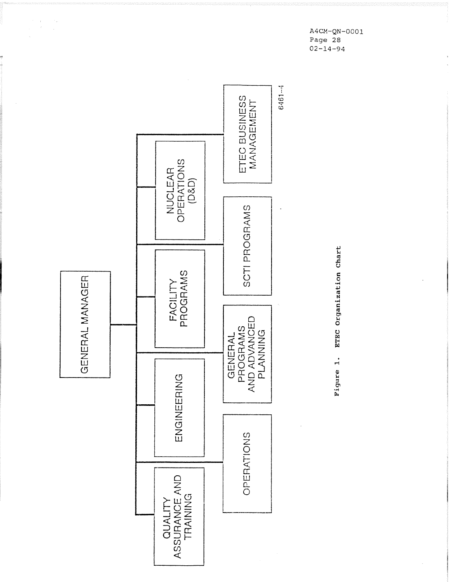**A4CM-QN-0001 Page** 28 **02-14-94** 



 $\frac{1}{\left\vert \mathcal{F}\right\vert }=\frac{1}{\left\vert \mathcal{F}\right\vert }$ 

Figure 1. ETEC Organization Chart